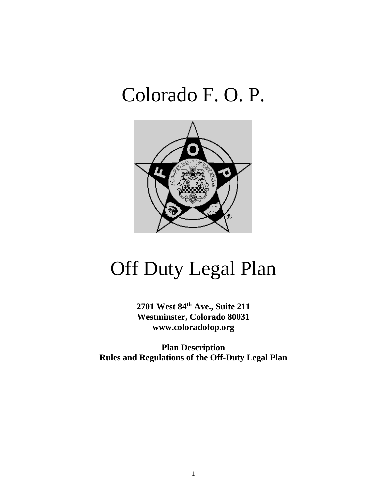# Colorado F. O. P.



# Off Duty Legal Plan

**2701 West 84th Ave., Suite 211 Westminster, Colorado 80031 www.coloradofop.org**

**Plan Description Rules and Regulations of the Off-Duty Legal Plan**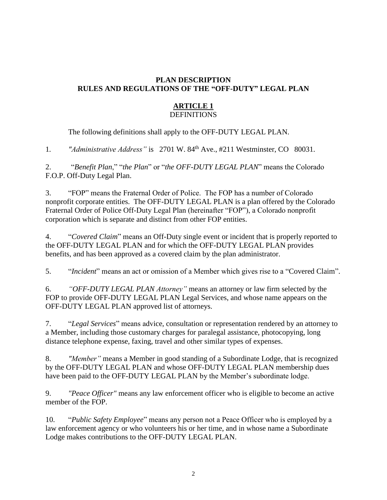# **PLAN DESCRIPTION RULES AND REGULATIONS OF THE "OFF-DUTY" LEGAL PLAN**

#### **ARTICLE 1 DEFINITIONS**

The following definitions shall apply to the OFF-DUTY LEGAL PLAN.

1*. "Administrative Address"* is 2701 W. 84th Ave., #211 Westminster, CO 80031.

2. "*Benefit Plan*," "*the Plan*" or "*the OFF-DUTY LEGAL PLAN*" means the Colorado F.O.P. Off-Duty Legal Plan.

3. "FOP" means the Fraternal Order of Police. The FOP has a number of Colorado nonprofit corporate entities. The OFF-DUTY LEGAL PLAN is a plan offered by the Colorado Fraternal Order of Police Off-Duty Legal Plan (hereinafter "FOP"), a Colorado nonprofit corporation which is separate and distinct from other FOP entities.

4. "*Covered Claim*" means an Off-Duty single event or incident that is properly reported to the OFF-DUTY LEGAL PLAN and for which the OFF-DUTY LEGAL PLAN provides benefits, and has been approved as a covered claim by the plan administrator.

5. "*Incident*" means an act or omission of a Member which gives rise to a "Covered Claim".

6. *"OFF-DUTY LEGAL PLAN Attorney"* means an attorney or law firm selected by the FOP to provide OFF-DUTY LEGAL PLAN Legal Services, and whose name appears on the OFF-DUTY LEGAL PLAN approved list of attorneys.

7. "*Legal Services*" means advice, consultation or representation rendered by an attorney to a Member, including those customary charges for paralegal assistance, photocopying, long distance telephone expense, faxing, travel and other similar types of expenses.

8. *"Member"* means a Member in good standing of a Subordinate Lodge, that is recognized by the OFF-DUTY LEGAL PLAN and whose OFF-DUTY LEGAL PLAN membership dues have been paid to the OFF-DUTY LEGAL PLAN by the Member's subordinate lodge.

9. *"Peace Officer"* means any law enforcement officer who is eligible to become an active member of the FOP.

10. "*Public Safety Employee*" means any person not a Peace Officer who is employed by a law enforcement agency or who volunteers his or her time, and in whose name a Subordinate Lodge makes contributions to the OFF-DUTY LEGAL PLAN.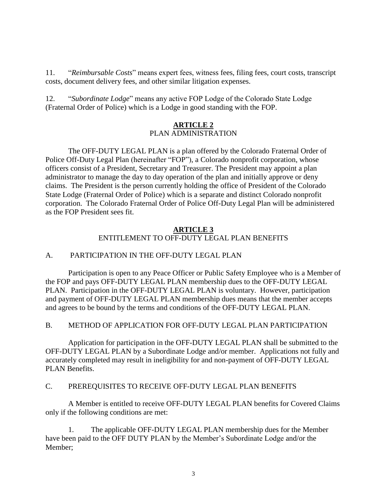11. "*Reimbursable Costs*" means expert fees, witness fees, filing fees, court costs, transcript costs, document delivery fees, and other similar litigation expenses.

12. "*Subordinate Lodge*" means any active FOP Lodge of the Colorado State Lodge (Fraternal Order of Police) which is a Lodge in good standing with the FOP.

# **ARTICLE 2** PLAN ADMINISTRATION

The OFF-DUTY LEGAL PLAN is a plan offered by the Colorado Fraternal Order of Police Off-Duty Legal Plan (hereinafter "FOP"), a Colorado nonprofit corporation, whose officers consist of a President, Secretary and Treasurer. The President may appoint a plan administrator to manage the day to day operation of the plan and initially approve or deny claims. The President is the person currently holding the office of President of the Colorado State Lodge (Fraternal Order of Police) which is a separate and distinct Colorado nonprofit corporation. The Colorado Fraternal Order of Police Off-Duty Legal Plan will be administered as the FOP President sees fit.

# **ARTICLE 3** ENTITLEMENT TO OFF-DUTY LEGAL PLAN BENEFITS

# A. PARTICIPATION IN THE OFF-DUTY LEGAL PLAN

Participation is open to any Peace Officer or Public Safety Employee who is a Member of the FOP and pays OFF-DUTY LEGAL PLAN membership dues to the OFF-DUTY LEGAL PLAN. Participation in the OFF-DUTY LEGAL PLAN is voluntary. However, participation and payment of OFF-DUTY LEGAL PLAN membership dues means that the member accepts and agrees to be bound by the terms and conditions of the OFF-DUTY LEGAL PLAN.

# B. METHOD OF APPLICATION FOR OFF-DUTY LEGAL PLAN PARTICIPATION

Application for participation in the OFF-DUTY LEGAL PLAN shall be submitted to the OFF-DUTY LEGAL PLAN by a Subordinate Lodge and/or member. Applications not fully and accurately completed may result in ineligibility for and non-payment of OFF-DUTY LEGAL PLAN Benefits.

# C. PREREQUISITES TO RECEIVE OFF-DUTY LEGAL PLAN BENEFITS

A Member is entitled to receive OFF-DUTY LEGAL PLAN benefits for Covered Claims only if the following conditions are met:

1. The applicable OFF-DUTY LEGAL PLAN membership dues for the Member have been paid to the OFF DUTY PLAN by the Member's Subordinate Lodge and/or the Member;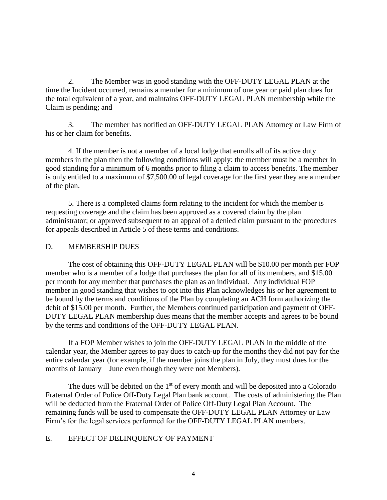2. The Member was in good standing with the OFF-DUTY LEGAL PLAN at the time the Incident occurred, remains a member for a minimum of one year or paid plan dues for the total equivalent of a year, and maintains OFF-DUTY LEGAL PLAN membership while the Claim is pending; and

3. The member has notified an OFF-DUTY LEGAL PLAN Attorney or Law Firm of his or her claim for benefits.

4. If the member is not a member of a local lodge that enrolls all of its active duty members in the plan then the following conditions will apply: the member must be a member in good standing for a minimum of 6 months prior to filing a claim to access benefits. The member is only entitled to a maximum of \$7,500.00 of legal coverage for the first year they are a member of the plan.

5. There is a completed claims form relating to the incident for which the member is requesting coverage and the claim has been approved as a covered claim by the plan administrator; or approved subsequent to an appeal of a denied claim pursuant to the procedures for appeals described in Article 5 of these terms and conditions.

# D. MEMBERSHIP DUES

The cost of obtaining this OFF-DUTY LEGAL PLAN will be \$10.00 per month per FOP member who is a member of a lodge that purchases the plan for all of its members, and \$15.00 per month for any member that purchases the plan as an individual. Any individual FOP member in good standing that wishes to opt into this Plan acknowledges his or her agreement to be bound by the terms and conditions of the Plan by completing an ACH form authorizing the debit of \$15.00 per month. Further, the Members continued participation and payment of OFF-DUTY LEGAL PLAN membership dues means that the member accepts and agrees to be bound by the terms and conditions of the OFF-DUTY LEGAL PLAN.

If a FOP Member wishes to join the OFF-DUTY LEGAL PLAN in the middle of the calendar year, the Member agrees to pay dues to catch-up for the months they did not pay for the entire calendar year (for example, if the member joins the plan in July, they must dues for the months of January – June even though they were not Members).

The dues will be debited on the  $1<sup>st</sup>$  of every month and will be deposited into a Colorado Fraternal Order of Police Off-Duty Legal Plan bank account. The costs of administering the Plan will be deducted from the Fraternal Order of Police Off-Duty Legal Plan Account. The remaining funds will be used to compensate the OFF-DUTY LEGAL PLAN Attorney or Law Firm's for the legal services performed for the OFF-DUTY LEGAL PLAN members.

# E. EFFECT OF DELINQUENCY OF PAYMENT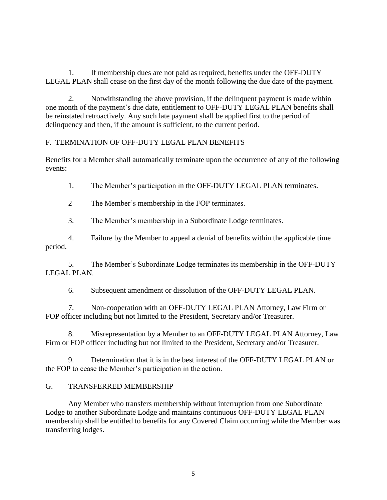1. If membership dues are not paid as required, benefits under the OFF-DUTY LEGAL PLAN shall cease on the first day of the month following the due date of the payment.

2. Notwithstanding the above provision, if the delinquent payment is made within one month of the payment's due date, entitlement to OFF-DUTY LEGAL PLAN benefits shall be reinstated retroactively. Any such late payment shall be applied first to the period of delinquency and then, if the amount is sufficient, to the current period.

# F. TERMINATION OF OFF-DUTY LEGAL PLAN BENEFITS

Benefits for a Member shall automatically terminate upon the occurrence of any of the following events:

1. The Member's participation in the OFF-DUTY LEGAL PLAN terminates.

2 The Member's membership in the FOP terminates.

3. The Member's membership in a Subordinate Lodge terminates.

4. Failure by the Member to appeal a denial of benefits within the applicable time period.

5. The Member's Subordinate Lodge terminates its membership in the OFF-DUTY LEGAL PLAN.

6. Subsequent amendment or dissolution of the OFF-DUTY LEGAL PLAN.

7. Non-cooperation with an OFF-DUTY LEGAL PLAN Attorney, Law Firm or FOP officer including but not limited to the President, Secretary and/or Treasurer.

8. Misrepresentation by a Member to an OFF-DUTY LEGAL PLAN Attorney, Law Firm or FOP officer including but not limited to the President, Secretary and/or Treasurer.

9. Determination that it is in the best interest of the OFF-DUTY LEGAL PLAN or the FOP to cease the Member's participation in the action.

# G. TRANSFERRED MEMBERSHIP

Any Member who transfers membership without interruption from one Subordinate Lodge to another Subordinate Lodge and maintains continuous OFF-DUTY LEGAL PLAN membership shall be entitled to benefits for any Covered Claim occurring while the Member was transferring lodges.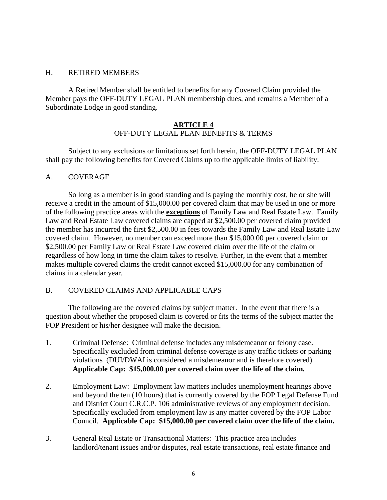#### H. RETIRED MEMBERS

A Retired Member shall be entitled to benefits for any Covered Claim provided the Member pays the OFF-DUTY LEGAL PLAN membership dues, and remains a Member of a Subordinate Lodge in good standing.

# **ARTICLE 4** OFF-DUTY LEGAL PLAN BENEFITS & TERMS

Subject to any exclusions or limitations set forth herein, the OFF-DUTY LEGAL PLAN shall pay the following benefits for Covered Claims up to the applicable limits of liability:

#### A. COVERAGE

So long as a member is in good standing and is paying the monthly cost, he or she will receive a credit in the amount of \$15,000.00 per covered claim that may be used in one or more of the following practice areas with the **exceptions** of Family Law and Real Estate Law. Family Law and Real Estate Law covered claims are capped at \$2,500.00 per covered claim provided the member has incurred the first \$2,500.00 in fees towards the Family Law and Real Estate Law covered claim. However, no member can exceed more than \$15,000.00 per covered claim or \$2,500.00 per Family Law or Real Estate Law covered claim over the life of the claim or regardless of how long in time the claim takes to resolve. Further, in the event that a member makes multiple covered claims the credit cannot exceed \$15,000.00 for any combination of claims in a calendar year.

#### B. COVERED CLAIMS AND APPLICABLE CAPS

The following are the covered claims by subject matter. In the event that there is a question about whether the proposed claim is covered or fits the terms of the subject matter the FOP President or his/her designee will make the decision.

- 1. Criminal Defense: Criminal defense includes any misdemeanor or felony case. Specifically excluded from criminal defense coverage is any traffic tickets or parking violations (DUI/DWAI is considered a misdemeanor and is therefore covered). **Applicable Cap: \$15,000.00 per covered claim over the life of the claim.**
- 2. Employment Law: Employment law matters includes unemployment hearings above and beyond the ten (10 hours) that is currently covered by the FOP Legal Defense Fund and District Court C.R.C.P. 106 administrative reviews of any employment decision. Specifically excluded from employment law is any matter covered by the FOP Labor Council. **Applicable Cap: \$15,000.00 per covered claim over the life of the claim.**
- 3. General Real Estate or Transactional Matters: This practice area includes landlord/tenant issues and/or disputes, real estate transactions, real estate finance and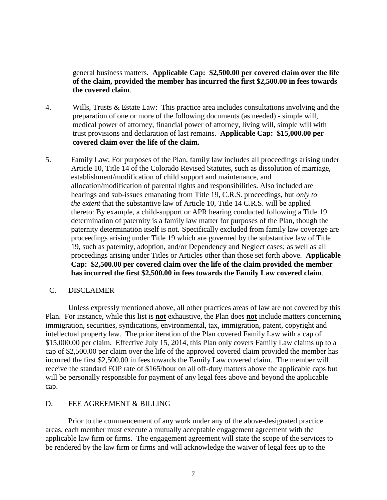general business matters. **Applicable Cap: \$2,500.00 per covered claim over the life of the claim, provided the member has incurred the first \$2,500.00 in fees towards the covered claim**.

- 4. Wills, Trusts & Estate Law: This practice area includes consultations involving and the preparation of one or more of the following documents (as needed) - simple will, medical power of attorney, financial power of attorney, living will, simple will with trust provisions and declaration of last remains. **Applicable Cap: \$15,000.00 per covered claim over the life of the claim.**
- 5. Family Law: For purposes of the Plan, family law includes all proceedings arising under Article 10, Title 14 of the Colorado Revised Statutes, such as dissolution of marriage, establishment/modification of child support and maintenance, and allocation/modification of parental rights and responsibilities. Also included are hearings and sub-issues emanating from Title 19, C.R.S. proceedings, but *only to the extent* that the substantive law of Article 10, Title 14 C.R.S. will be applied thereto: By example, a child-support or APR hearing conducted following a Title 19 determination of paternity is a family law matter for purposes of the Plan, though the paternity determination itself is not. Specifically excluded from family law coverage are proceedings arising under Title 19 which are governed by the substantive law of Title 19, such as paternity, adoption, and/or Dependency and Neglect cases; as well as all proceedings arising under Titles or Articles other than those set forth above. **Applicable Cap: \$2,500.00 per covered claim over the life of the claim provided the member has incurred the first \$2,500.00 in fees towards the Family Law covered claim**.

#### C. DISCLAIMER

Unless expressly mentioned above, all other practices areas of law are not covered by this Plan. For instance, while this list is **not** exhaustive, the Plan does **not** include matters concerning immigration, securities, syndications, environmental, tax, immigration, patent, copyright and intellectual property law. The prior iteration of the Plan covered Family Law with a cap of \$15,000.00 per claim. Effective July 15, 2014, this Plan only covers Family Law claims up to a cap of \$2,500.00 per claim over the life of the approved covered claim provided the member has incurred the first \$2,500.00 in fees towards the Family Law covered claim. The member will receive the standard FOP rate of \$165/hour on all off-duty matters above the applicable caps but will be personally responsible for payment of any legal fees above and beyond the applicable cap.

#### D. FEE AGREEMENT & BILLING

Prior to the commencement of any work under any of the above-designated practice areas, each member must execute a mutually acceptable engagement agreement with the applicable law firm or firms. The engagement agreement will state the scope of the services to be rendered by the law firm or firms and will acknowledge the waiver of legal fees up to the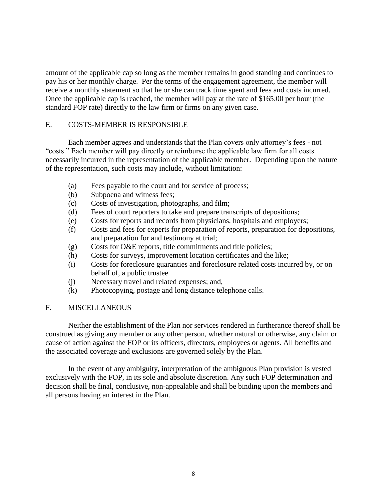amount of the applicable cap so long as the member remains in good standing and continues to pay his or her monthly charge. Per the terms of the engagement agreement, the member will receive a monthly statement so that he or she can track time spent and fees and costs incurred. Once the applicable cap is reached, the member will pay at the rate of \$165.00 per hour (the standard FOP rate) directly to the law firm or firms on any given case.

# E. COSTS-MEMBER IS RESPONSIBLE

Each member agrees and understands that the Plan covers only attorney's fees - not "costs." Each member will pay directly or reimburse the applicable law firm for all costs necessarily incurred in the representation of the applicable member. Depending upon the nature of the representation, such costs may include, without limitation:

- (a) Fees payable to the court and for service of process;
- (b) Subpoena and witness fees;
- (c) Costs of investigation, photographs, and film;
- (d) Fees of court reporters to take and prepare transcripts of depositions;
- (e) Costs for reports and records from physicians, hospitals and employers;
- (f) Costs and fees for experts for preparation of reports, preparation for depositions, and preparation for and testimony at trial;
- (g) Costs for O&E reports, title commitments and title policies;
- (h) Costs for surveys, improvement location certificates and the like;
- (i) Costs for foreclosure guaranties and foreclosure related costs incurred by, or on behalf of, a public trustee
- (j) Necessary travel and related expenses; and,
- (k) Photocopying, postage and long distance telephone calls.

# F. MISCELLANEOUS

Neither the establishment of the Plan nor services rendered in furtherance thereof shall be construed as giving any member or any other person, whether natural or otherwise, any claim or cause of action against the FOP or its officers, directors, employees or agents. All benefits and the associated coverage and exclusions are governed solely by the Plan.

In the event of any ambiguity, interpretation of the ambiguous Plan provision is vested exclusively with the FOP, in its sole and absolute discretion. Any such FOP determination and decision shall be final, conclusive, non-appealable and shall be binding upon the members and all persons having an interest in the Plan.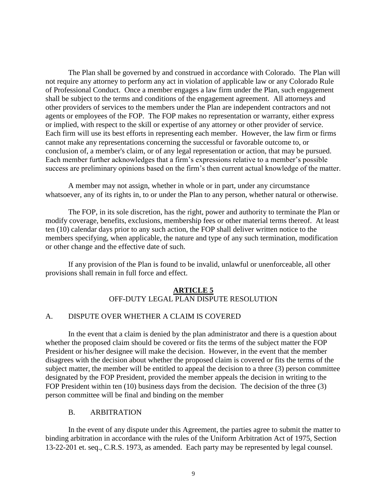The Plan shall be governed by and construed in accordance with Colorado. The Plan will not require any attorney to perform any act in violation of applicable law or any Colorado Rule of Professional Conduct. Once a member engages a law firm under the Plan, such engagement shall be subject to the terms and conditions of the engagement agreement. All attorneys and other providers of services to the members under the Plan are independent contractors and not agents or employees of the FOP. The FOP makes no representation or warranty, either express or implied, with respect to the skill or expertise of any attorney or other provider of service. Each firm will use its best efforts in representing each member. However, the law firm or firms cannot make any representations concerning the successful or favorable outcome to, or conclusion of, a member's claim, or of any legal representation or action, that may be pursued. Each member further acknowledges that a firm's expressions relative to a member's possible success are preliminary opinions based on the firm's then current actual knowledge of the matter.

A member may not assign, whether in whole or in part, under any circumstance whatsoever, any of its rights in, to or under the Plan to any person, whether natural or otherwise.

The FOP, in its sole discretion, has the right, power and authority to terminate the Plan or modify coverage, benefits, exclusions, membership fees or other material terms thereof. At least ten (10) calendar days prior to any such action, the FOP shall deliver written notice to the members specifying, when applicable, the nature and type of any such termination, modification or other change and the effective date of such.

If any provision of the Plan is found to be invalid, unlawful or unenforceable, all other provisions shall remain in full force and effect.

#### **ARTICLE 5** OFF-DUTY LEGAL PLAN DISPUTE RESOLUTION

# A. DISPUTE OVER WHETHER A CLAIM IS COVERED

In the event that a claim is denied by the plan administrator and there is a question about whether the proposed claim should be covered or fits the terms of the subject matter the FOP President or his/her designee will make the decision. However, in the event that the member disagrees with the decision about whether the proposed claim is covered or fits the terms of the subject matter, the member will be entitled to appeal the decision to a three (3) person committee designated by the FOP President, provided the member appeals the decision in writing to the FOP President within ten (10) business days from the decision. The decision of the three (3) person committee will be final and binding on the member

#### B. ARBITRATION

In the event of any dispute under this Agreement, the parties agree to submit the matter to binding arbitration in accordance with the rules of the Uniform Arbitration Act of 1975, Section 13-22-201 et. seq., C.R.S. 1973, as amended. Each party may be represented by legal counsel.